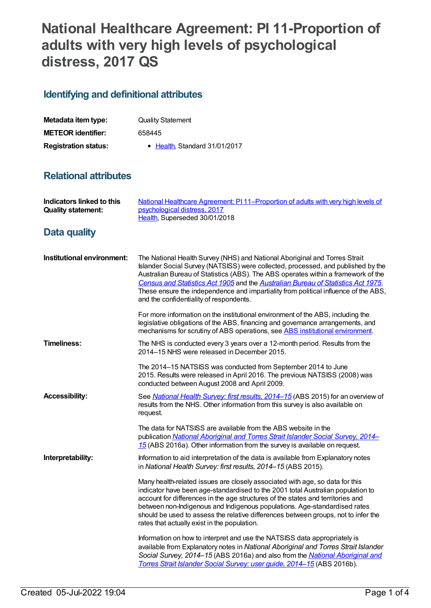# **National Healthcare Agreement: PI 11-Proportion of adults with very high levels of psychological distress, 2017 QS**

## **Identifying and definitional attributes**

| Metadata item type:         | <b>Quality Statement</b>      |
|-----------------------------|-------------------------------|
| <b>METEOR identifier:</b>   | 658445                        |
| <b>Registration status:</b> | • Health, Standard 31/01/2017 |

## **Relational attributes**

| <b>Indicators linked to this</b><br><b>Quality statement:</b> | National Healthcare Agreement: PI11-Proportion of adults with very high levels of<br>psychological distress, 2017<br>Health, Superseded 30/01/2018                                                                                                                                                                                                                                                                                                                        |
|---------------------------------------------------------------|---------------------------------------------------------------------------------------------------------------------------------------------------------------------------------------------------------------------------------------------------------------------------------------------------------------------------------------------------------------------------------------------------------------------------------------------------------------------------|
| Data quality                                                  |                                                                                                                                                                                                                                                                                                                                                                                                                                                                           |
| Institutional environment:                                    | The National Health Survey (NHS) and National Aboriginal and Torres Strait<br>Islander Social Survey (NATSISS) were collected, processed, and published by the<br>Australian Bureau of Statistics (ABS). The ABS operates within a framework of the<br>Census and Statistics Act 1905 and the Australian Bureau of Statistics Act 1975.<br>These ensure the independence and impartiality from political influence of the ABS,<br>and the confidentiality of respondents. |
|                                                               | For more information on the institutional environment of the ABS, including the<br>legislative obligations of the ABS, financing and governance arrangements, and<br>mechanisms for scrutiny of ABS operations, see ABS institutional environment.                                                                                                                                                                                                                        |
| Timeliness:                                                   | The NHS is conducted every 3 years over a 12-month period. Results from the<br>2014-15 NHS were released in December 2015.                                                                                                                                                                                                                                                                                                                                                |
|                                                               | The 2014-15 NATSISS was conducted from September 2014 to June<br>2015. Results were released in April 2016. The previous NATSISS (2008) was<br>conducted between August 2008 and April 2009.                                                                                                                                                                                                                                                                              |
| <b>Accessibility:</b>                                         | See National Health Survey: first results, 2014-15 (ABS 2015) for an overview of<br>results from the NHS. Other information from this survey is also available on<br>request.                                                                                                                                                                                                                                                                                             |
|                                                               | The data for NATSISS are available from the ABS website in the<br>publication National Aboriginal and Torres Strait Islander Social Survey, 2014-<br>15 (ABS 2016a). Other information from the survey is available on request.                                                                                                                                                                                                                                           |
| Interpretability:                                             | Information to aid interpretation of the data is available from Explanatory notes<br>in National Health Survey: first results, 2014-15 (ABS 2015).                                                                                                                                                                                                                                                                                                                        |
|                                                               | Many health-related issues are closely associated with age, so data for this<br>indicator have been age-standardised to the 2001 total Australian population to<br>account for differences in the age structures of the states and territories and<br>between non-Indigenous and Indigenous populations. Age-standardised rates<br>should be used to assess the relative differences between groups, not to infer the<br>rates that actually exist in the population.     |
|                                                               | Information on how to interpret and use the NATSISS data appropriately is<br>available from Explanatory notes in National Aboriginal and Torres Strait Islander<br>Social Survey, 2014-15 (ABS 2016a) and also from the National Aboriginal and<br>Torres Strait Islander Social Survey: user guide, 2014-15 (ABS 2016b).                                                                                                                                                 |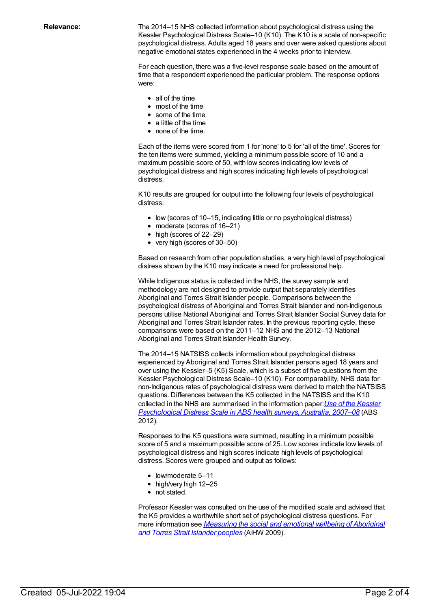**Relevance:** The 2014–15 NHS collected information about psychological distress using the Kessler Psychological Distress Scale–10 (K10). The K10 is a scale of non-specific psychological distress. Adults aged 18 years and over were asked questions about negative emotional states experienced in the 4 weeks prior to interview.

> For each question, there was a five-level response scale based on the amount of time that a respondent experienced the particular problem. The response options were:

- all of the time
- most of the time
- some of the time
- a little of the time
- none of the time.

Each of the items were scored from 1 for 'none' to 5 for 'all of the time'. Scores for the ten items were summed, yielding a minimum possible score of 10 and a maximum possible score of 50, with low scores indicating low levels of psychological distress and high scores indicating high levels of psychological distress.

K10 results are grouped for output into the following four levels of psychological distress:

- low (scores of 10–15, indicating little or no psychological distress)
- moderate (scores of 16–21)
- high (scores of 22–29)
- very high (scores of 30–50)

Based on research from other population studies, a very high level of psychological distress shown by the K10 may indicate a need for professional help.

While Indigenous status is collected in the NHS, the survey sample and methodology are not designed to provide output that separately identifies Aboriginal and Torres Strait Islander people. Comparisons between the psychological distress of Aboriginal and Torres Strait Islander and non-Indigenous persons utilise National Aboriginal and Torres Strait Islander Social Survey data for Aboriginal and Torres Strait Islander rates. In the previous reporting cycle, these comparisons were based on the 2011–12 NHS and the 2012–13 National Aboriginal and Torres Strait Islander Health Survey.

The 2014–15 NATSISS collects information about psychological distress experienced by Aboriginal and Torres Strait Islander persons aged 18 years and over using the Kessler–5 (K5) Scale, which is a subset of five questions from the Kessler Psychological Distress Scale–10 (K10). For comparability, NHS data for non-Indigenous rates of psychological distress were derived to match the NATSISS questions. Differences between the K5 collected in the NATSISS and the K10 collected in the NHS are summarised in the information paper:*Use of the Kessler [Psychological](http://www.abs.gov.au/ausstats/abs@.nsf/mf/4817.0.55.001) Distress Scale in ABS health surveys, Australia, 2007–08* (ABS 2012).

Responses to the K5 questions were summed, resulting in a minimum possible score of 5 and a maximum possible score of 25. Low scores indicate low levels of psychological distress and high scores indicate high levels of psychological distress. Scores were grouped and output as follows:

- low/moderate 5-11
- high/very high 12–25
- not stated.

Professor Kessler was consulted on the use of the modified scale and advised that the K5 provides a worthwhile short set of psychological distress questions. For more information see *[Measuring](http://www.aihw.gov.au/publication-detail/?id=6442468208) the social and emotional wellbeing of Aboriginal and Torres Strait Islander peoples* (AIHW 2009).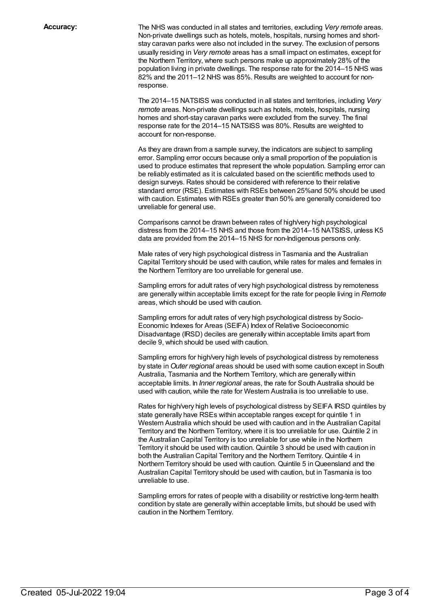**Accuracy:** The NHS was conducted in all states and territories, excluding *Very remote* areas. Non-private dwellings such as hotels, motels, hospitals, nursing homes and shortstay caravan parks were also not included in the survey. The exclusion of persons usually residing in *Very remote* areas has a small impact on estimates, except for the Northern Territory, where such persons make up approximately 28% of the population living in private dwellings. The response rate for the 2014–15 NHS was 82% and the 2011–12 NHS was 85%. Results are weighted to account for nonresponse.

> The 2014–15 NATSISS was conducted in all states and territories, including *Very remote* areas. Non-private dwellings such as hotels, motels, hospitals, nursing homes and short-stay caravan parks were excluded from the survey. The final response rate for the 2014–15 NATSISS was 80%. Results are weighted to account for non-response.

As they are drawn from a sample survey, the indicators are subject to sampling error. Sampling error occurs because only a small proportion of the population is used to produce estimates that represent the whole population. Sampling error can be reliably estimated as it is calculated based on the scientific methods used to design surveys. Rates should be considered with reference to their relative standard error (RSE). Estimates with RSEs between 25%and 50% should be used with caution. Estimates with RSEs greater than 50% are generally considered too unreliable for general use.

Comparisons cannot be drawn between rates of high/very high psychological distress from the 2014–15 NHS and those from the 2014–15 NATSISS, unless K5 data are provided from the 2014–15 NHS for non-Indigenous persons only.

Male rates of very high psychological distress in Tasmania and the Australian Capital Territory should be used with caution, while rates for males and females in the Northern Territory are too unreliable for general use.

Sampling errors for adult rates of very high psychological distress by remoteness are generally within acceptable limits except for the rate for people living in *Remote* areas, which should be used with caution.

Sampling errors for adult rates of very high psychological distress by Socio-Economic Indexes for Areas (SEIFA) Index of Relative Socioeconomic Disadvantage (IRSD) deciles are generally within acceptable limits apart from decile 9, which should be used with caution.

Sampling errors for high/very high levels of psychological distress by remoteness by state in*Outer regional* areas should be used with some caution except in South Australia, Tasmania and the Northern Territory, which are generally within acceptable limits. In *Inner regional* areas, the rate for South Australia should be used with caution, while the rate for Western Australia is too unreliable to use.

Rates for high/very high levels of psychological distress by SEIFA IRSD quintiles by state generally have RSEs within acceptable ranges except for quintile 1 in Western Australia which should be used with caution and in the Australian Capital Territory and the Northern Territory, where it is too unreliable for use. Quintile 2 in the Australian Capital Territory is too unreliable for use while in the Northern Territory it should be used with caution. Quintile 3 should be used with caution in both the Australian Capital Territory and the Northern Territory. Quintile 4 in Northern Territory should be used with caution. Quintile 5 inQueensland and the Australian Capital Territory should be used with caution, but in Tasmania is too unreliable to use.

Sampling errors for rates of people with a disability or restrictive long-term health condition by state are generally within acceptable limits, but should be used with caution in the Northern Territory.